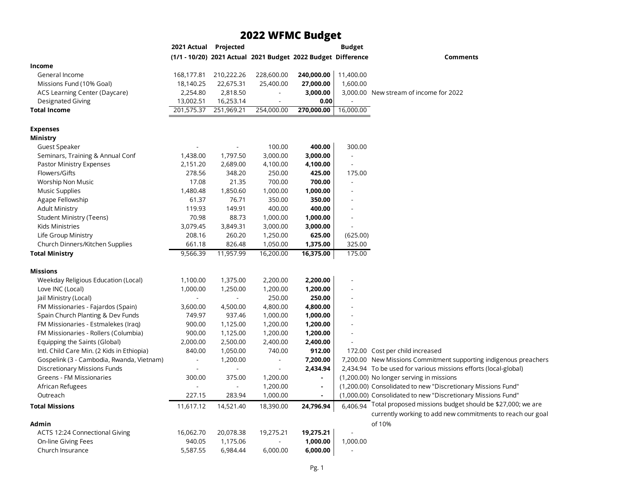## **2022 WFMC Budget**

|                                            | 2021 Actual Projected |                          |                                                              |                | <b>Budget</b>            |                                                                                                                         |
|--------------------------------------------|-----------------------|--------------------------|--------------------------------------------------------------|----------------|--------------------------|-------------------------------------------------------------------------------------------------------------------------|
|                                            |                       |                          | (1/1 - 10/20) 2021 Actual 2021 Budget 2022 Budget Difference |                |                          | <b>Comments</b>                                                                                                         |
| Income                                     |                       |                          |                                                              |                |                          |                                                                                                                         |
| General Income                             | 168,177.81            | 210,222.26               | 228,600.00                                                   | 240,000.00     | 11,400.00                |                                                                                                                         |
| Missions Fund (10% Goal)                   | 18,140.25             | 22,675.31                | 25,400.00                                                    | 27,000.00      | 1,600.00                 |                                                                                                                         |
| ACS Learning Center (Daycare)              | 2,254.80              | 2,818.50                 | $\overline{\phantom{a}}$                                     | 3,000.00       |                          | 3,000.00 New stream of income for 2022                                                                                  |
| <b>Designated Giving</b>                   | 13,002.51             | 16,253.14                |                                                              | 0.00           |                          |                                                                                                                         |
| <b>Total Income</b>                        | 201,575.37            | 251,969.21               | 254,000.00                                                   | 270,000.00     | 16,000.00                |                                                                                                                         |
| <b>Expenses</b>                            |                       |                          |                                                              |                |                          |                                                                                                                         |
| Ministry                                   |                       |                          |                                                              |                |                          |                                                                                                                         |
| Guest Speaker                              |                       | $\overline{\phantom{a}}$ | 100.00                                                       | 400.00         | 300.00                   |                                                                                                                         |
| Seminars, Training & Annual Conf           | 1,438.00              | 1,797.50                 | 3,000.00                                                     | 3,000.00       | $\blacksquare$           |                                                                                                                         |
| Pastor Ministry Expenses                   | 2,151.20              | 2,689.00                 | 4,100.00                                                     | 4,100.00       | $\blacksquare$           |                                                                                                                         |
| Flowers/Gifts                              | 278.56                | 348.20                   | 250.00                                                       | 425.00         | 175.00                   |                                                                                                                         |
| Worship Non Music                          | 17.08                 | 21.35                    | 700.00                                                       | 700.00         |                          |                                                                                                                         |
| <b>Music Supplies</b>                      | 1,480.48              | 1,850.60                 | 1,000.00                                                     | 1,000.00       | $\blacksquare$           |                                                                                                                         |
| Agape Fellowship                           | 61.37                 | 76.71                    | 350.00                                                       | 350.00         |                          |                                                                                                                         |
| <b>Adult Ministry</b>                      | 119.93                | 149.91                   | 400.00                                                       | 400.00         |                          |                                                                                                                         |
| <b>Student Ministry (Teens)</b>            | 70.98                 | 88.73                    | 1,000.00                                                     | 1,000.00       | $\overline{\phantom{a}}$ |                                                                                                                         |
| Kids Ministries                            | 3,079.45              | 3,849.31                 | 3,000.00                                                     | 3,000.00       |                          |                                                                                                                         |
| Life Group Ministry                        | 208.16                | 260.20                   | 1,250.00                                                     | 625.00         | (625.00)                 |                                                                                                                         |
| Church Dinners/Kitchen Supplies            | 661.18                | 826.48                   | 1,050.00                                                     | 1,375.00       | 325.00                   |                                                                                                                         |
| <b>Total Ministry</b>                      | 9,566.39              | 11,957.99                | 16,200.00                                                    | 16,375.00      | 175.00                   |                                                                                                                         |
| <b>Missions</b>                            |                       |                          |                                                              |                |                          |                                                                                                                         |
| Weekday Religious Education (Local)        | 1,100.00              | 1,375.00                 | 2,200.00                                                     | 2,200.00       |                          |                                                                                                                         |
| Love INC (Local)                           | 1,000.00              | 1,250.00                 | 1,200.00                                                     | 1,200.00       |                          |                                                                                                                         |
| Jail Ministry (Local)                      | $\overline{a}$        | $\overline{\phantom{0}}$ | 250.00                                                       | 250.00         |                          |                                                                                                                         |
| FM Missionaries - Fajardos (Spain)         | 3,600.00              | 4,500.00                 | 4,800.00                                                     | 4,800.00       |                          |                                                                                                                         |
| Spain Church Planting & Dev Funds          | 749.97                | 937.46                   | 1,000.00                                                     | 1,000.00       |                          |                                                                                                                         |
| FM Missionaries - Estmalekes (Iraq)        | 900.00                | 1,125.00                 | 1,200.00                                                     | 1,200.00       |                          |                                                                                                                         |
| FM Missionaries - Rollers (Columbia)       | 900.00                | 1,125.00                 | 1,200.00                                                     | 1,200.00       |                          |                                                                                                                         |
| Equipping the Saints (Global)              | 2,000.00              | 2,500.00                 | 2,400.00                                                     | 2,400.00       |                          |                                                                                                                         |
| Intl. Child Care Min. (2 Kids in Ethiopia) | 840.00                | 1,050.00                 | 740.00                                                       | 912.00         |                          | 172.00 Cost per child increased                                                                                         |
| Gospelink (3 - Cambodia, Rwanda, Vietnam)  | $\overline{a}$        | 1,200.00                 |                                                              | 7,200.00       |                          | 7,200.00 New Missions Commitment supporting indigenous preachers                                                        |
| Discretionary Missions Funds               | $\overline{a}$        | $\overline{\phantom{a}}$ | $\overline{\phantom{a}}$                                     | 2,434.94       |                          | 2,434.94 To be used for various missions efforts (local-global)                                                         |
| Greens - FM Missionaries                   | 300.00                | 375.00                   | 1,200.00                                                     | $\blacksquare$ |                          | (1,200.00) No longer serving in missions                                                                                |
| African Refugees                           | $\overline{a}$        | $\overline{\phantom{a}}$ | 1,200.00                                                     | $\blacksquare$ |                          | (1,200.00) Consolidated to new "Discretionary Missions Fund"                                                            |
| Outreach                                   | 227.15                | 283.94                   | 1,000.00                                                     |                |                          | (1,000.00) Consolidated to new "Discretionary Missions Fund"                                                            |
| <b>Total Missions</b>                      | 11,617.12             | 14,521.40                | 18,390.00                                                    | 24,796.94      | 6,406.94                 | Total proposed missions budget should be \$27,000; we are<br>currently working to add new commitments to reach our goal |
| Admin                                      |                       |                          |                                                              |                |                          | of 10%                                                                                                                  |
| <b>ACTS 12:24 Connectional Giving</b>      | 16,062.70             | 20,078.38                | 19,275.21                                                    | 19,275.21      |                          |                                                                                                                         |
| <b>On-line Giving Fees</b>                 | 940.05                | 1,175.06                 | $\overline{\phantom{0}}$                                     | 1,000.00       | 1,000.00                 |                                                                                                                         |
| Church Insurance                           | 5,587.55              | 6,984.44                 | 6,000.00                                                     | 6,000.00       | $\frac{1}{2}$            |                                                                                                                         |